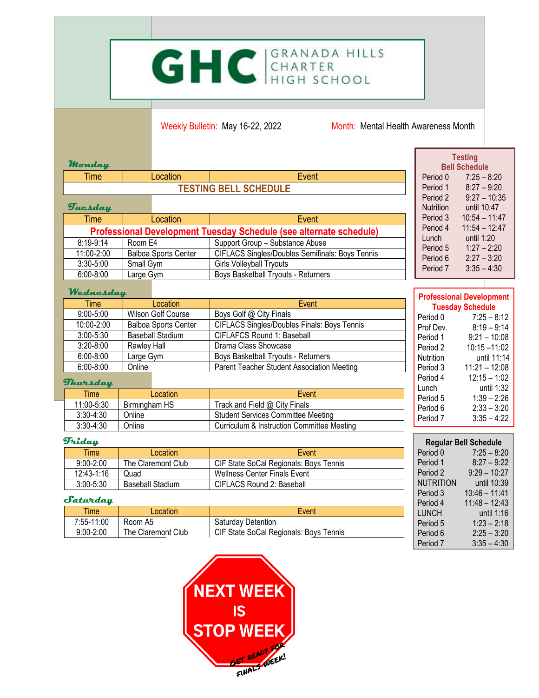## GHC GRANADA HILLS

Weekly Bulletin: May 16-22, 2022 Month: Mental Health Awareness Month

| <b>Monday</b>        |                                                                    |                                                    | <b>Testing</b><br><b>Bell Schedule</b>                     |  |  |  |  |
|----------------------|--------------------------------------------------------------------|----------------------------------------------------|------------------------------------------------------------|--|--|--|--|
| <b>Time</b>          | Location                                                           | Event                                              | Period 0<br>$7:25 - 8:20$                                  |  |  |  |  |
|                      |                                                                    | <b>TESTING BELL SCHEDULE</b>                       | $8:27 - 9:20$<br>Period 1                                  |  |  |  |  |
|                      | $9:27 - 10:35$<br>Period 2                                         |                                                    |                                                            |  |  |  |  |
| Tuesday              |                                                                    |                                                    | until 10:47<br><b>Nutrition</b>                            |  |  |  |  |
| <b>Time</b>          | Location                                                           | Event                                              | $10:54 - 11:47$<br>Period 3<br>Period 4<br>$11:54 - 12:47$ |  |  |  |  |
|                      | Professional Development Tuesday Schedule (see alternate schedule) |                                                    |                                                            |  |  |  |  |
| 8:19-9:14            | Room E4                                                            | Support Group - Substance Abuse                    | until 1:20<br>Lunch                                        |  |  |  |  |
| 11:00-2:00           | <b>Balboa Sports Center</b>                                        | CIFLACS Singles/Doubles Semifinals: Boys Tennis    | $1:27 - 2:20$<br>Period 5                                  |  |  |  |  |
| 3:30-5:00            | Small Gym                                                          | Girls Volleyball Tryouts                           | $2:27 - 3:20$<br>Period 6<br>$3:35 - 4:30$<br>Period 7     |  |  |  |  |
| $6:00 - 8:00$        | Large Gym                                                          | Boys Basketball Tryouts - Returners                |                                                            |  |  |  |  |
| Wednesday            |                                                                    |                                                    |                                                            |  |  |  |  |
| Time                 | Location                                                           | Event                                              | <b>Professional Development</b><br><b>Tuesday Schedule</b> |  |  |  |  |
| $9:00 - 5:00$        | Wilson Golf Course                                                 | Boys Golf @ City Finals                            | Period 0<br>$7:25 - 8:12$                                  |  |  |  |  |
| 10:00-2:00           | <b>Balboa Sports Center</b>                                        | <b>CIFLACS Singles/Doubles Finals: Boys Tennis</b> | $8:19 - 9:14$<br>Prof Dev.                                 |  |  |  |  |
| 3:00-5:30            | <b>Baseball Stadium</b>                                            | <b>CIFLAFCS Round 1: Baseball</b>                  | $9:21 - 10:08$<br>Period 1                                 |  |  |  |  |
| $3:20 - 8:00$        | Rawley Hall                                                        | Drama Class Showcase                               | $10:15 - 11:02$<br>Period 2                                |  |  |  |  |
| $6:00 - 8:00$        | Large Gym                                                          | <b>Boys Basketball Tryouts - Returners</b>         | until 11:14<br>Nutrition                                   |  |  |  |  |
| $6:00 - 8:00$        | Online                                                             | Parent Teacher Student Association Meeting         | $11:21 - 12:08$<br>Period 3                                |  |  |  |  |
| Thursday             |                                                                    |                                                    | $12:15 - 1:02$<br>Period 4                                 |  |  |  |  |
| <b>Time</b>          | Location                                                           | Event                                              | until 1:32<br>Lunch                                        |  |  |  |  |
| 11:00-5:30           | Birmingham HS                                                      | Track and Field @ City Finals                      | $1:39 - 2:26$<br>Period 5                                  |  |  |  |  |
| $3:30 - 4:30$        | Online                                                             | <b>Student Services Committee Meeting</b>          | $2:33 - 3:20$<br>Period 6                                  |  |  |  |  |
| $3:30 - 4:30$        | Online                                                             | Curriculum & Instruction Committee Meeting         | $3:35 - 4:22$<br>Period 7                                  |  |  |  |  |
| <b><i>Friday</i></b> |                                                                    |                                                    |                                                            |  |  |  |  |
| <b>Time</b>          | Location                                                           | Event                                              | <b>Regular Bell Schedule</b><br>Period 0<br>$7:25 - 8:20$  |  |  |  |  |
| $9:00 - 2:00$        | The Claremont Club                                                 | CIF State SoCal Regionals: Boys Tennis             | Period 1<br>$8:27 - 9:22$                                  |  |  |  |  |
| 12:43-1:16           | Quad                                                               | <b>Wellness Center Finals Event</b>                | $9:29 - 10:27$<br>Period 2                                 |  |  |  |  |
| $3:00 - 5:30$        | <b>Baseball Stadium</b>                                            | CIFLACS Round 2: Baseball                          | until 10:39<br><b>NUTRITION</b>                            |  |  |  |  |

| $3:00 - 5:30$ | <b>Baseball Stadium</b> | CIFLACS Round 2: Baseball              | <b>NUTRITION</b> | until 10:39     |
|---------------|-------------------------|----------------------------------------|------------------|-----------------|
|               |                         |                                        | Period 3         | $10:46 - 11:41$ |
| Saturday      |                         |                                        | Period 4         | $11:48 - 12:43$ |
| Time          | Location                | Event                                  | <b>LUNCH</b>     | until 1:16      |
| 7:55-11:00    | Room A5                 | Saturday Detention                     | Period 5         | $1:23 - 2:18$   |
| $9:00 - 2:00$ | The Claremont Club      | CIF State SoCal Regionals: Boys Tennis | Period 6         | $2:25 - 3:20$   |
|               |                         |                                        | Period 7         | $3:35 - 4:30$   |